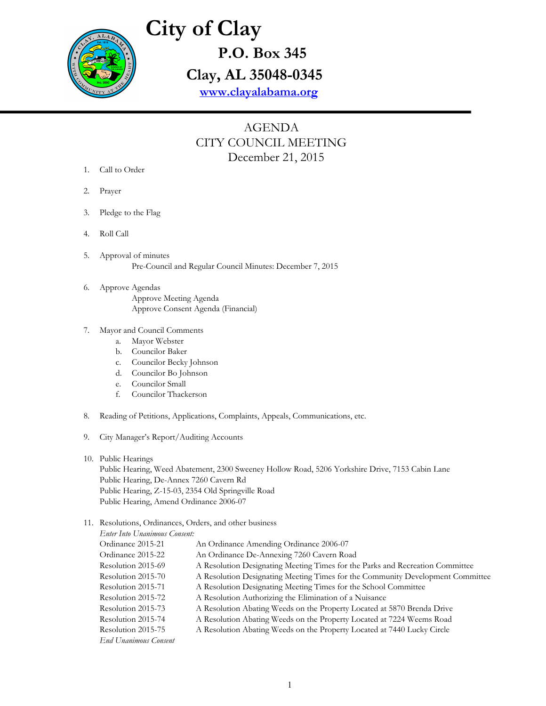

# **City of Clay P.O. Box 345**

**Clay, AL 35048-0345**

**[www.clayalabama.org](http://www.clayalabama.org/)**

## AGENDA CITY COUNCIL MEETING December 21, 2015

- 1. Call to Order
- 2. Prayer
- 3. Pledge to the Flag
- 4. Roll Call
- 5. Approval of minutes Pre-Council and Regular Council Minutes: December 7, 2015
- 6. Approve Agendas Approve Meeting Agenda Approve Consent Agenda (Financial)
- 7. Mayor and Council Comments
	- a. Mayor Webster
	- b. Councilor Baker
	- c. Councilor Becky Johnson
	- d. Councilor Bo Johnson
	- e. Councilor Small
	- f. Councilor Thackerson
- 8. Reading of Petitions, Applications, Complaints, Appeals, Communications, etc.
- 9. City Manager's Report/Auditing Accounts

#### 10. Public Hearings

Public Hearing, Weed Abatement, 2300 Sweeney Hollow Road, 5206 Yorkshire Drive, 7153 Cabin Lane Public Hearing, De-Annex 7260 Cavern Rd Public Hearing, Z-15-03, 2354 Old Springville Road Public Hearing, Amend Ordinance 2006-07

#### 11. Resolutions, Ordinances, Orders, and other business

| Enter Into Unanimous Consent: |                                                                                |
|-------------------------------|--------------------------------------------------------------------------------|
| Ordinance 2015-21             | An Ordinance Amending Ordinance 2006-07                                        |
| Ordinance 2015-22             | An Ordinance De-Annexing 7260 Cavern Road                                      |
| Resolution 2015-69            | A Resolution Designating Meeting Times for the Parks and Recreation Committee  |
| Resolution 2015-70            | A Resolution Designating Meeting Times for the Community Development Committee |
| Resolution 2015-71            | A Resolution Designating Meeting Times for the School Committee                |
| Resolution 2015-72            | A Resolution Authorizing the Elimination of a Nuisance                         |
| Resolution 2015-73            | A Resolution Abating Weeds on the Property Located at 5870 Brenda Drive        |
| Resolution 2015-74            | A Resolution Abating Weeds on the Property Located at 7224 Weems Road          |
| Resolution 2015-75            | A Resolution Abating Weeds on the Property Located at 7440 Lucky Circle        |
| <b>End Unanimous Consent</b>  |                                                                                |